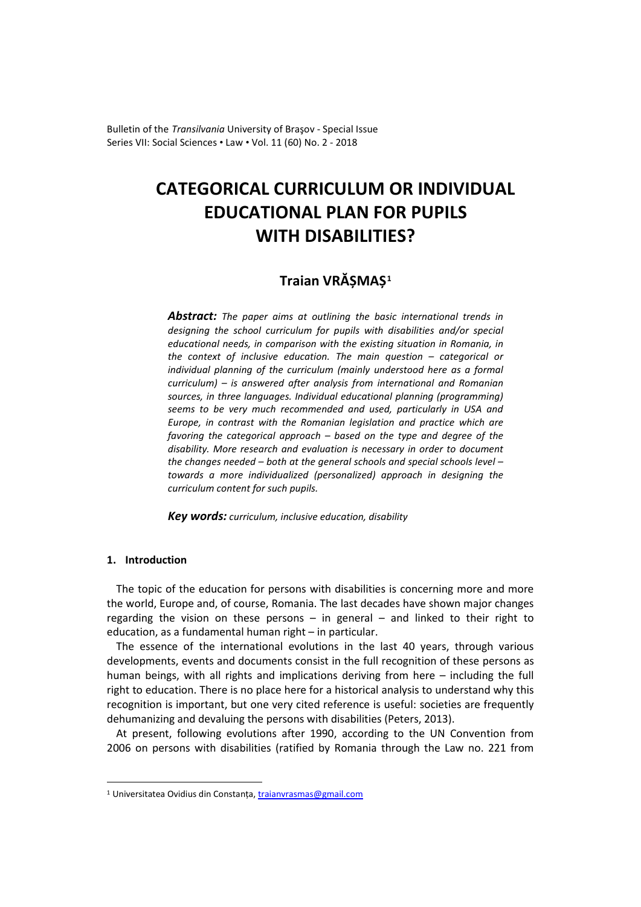Bulletin of the *Transilvania* University of Braşov - Special Issue Series VII: Social Sciences • Law • Vol. 11 (60) No. 2 - 2018

# **CATEGORICAL CURRICULUM OR INDIVIDUAL EDUCATIONAL PLAN FOR PUPILS WITH DISABILITIES?**

# **Traian VRĂȘMAȘ[1](#page-0-0)**

*Abstract: The paper aims at outlining the basic international trends in designing the school curriculum for pupils with disabilities and/or special educational needs, in comparison with the existing situation in Romania, in the context of inclusive education. The main question – categorical or individual planning of the curriculum (mainly understood here as a formal curriculum) – is answered after analysis from international and Romanian sources, in three languages. Individual educational planning (programming) seems to be very much recommended and used, particularly in USA and Europe, in contrast with the Romanian legislation and practice which are favoring the categorical approach – based on the type and degree of the disability. More research and evaluation is necessary in order to document the changes needed – both at the general schools and special schools level – towards a more individualized (personalized) approach in designing the curriculum content for such pupils.*

*Key words: curriculum, inclusive education, disability*

## **1. Introduction**

-

The topic of the education for persons with disabilities is concerning more and more the world, Europe and, of course, Romania. The last decades have shown major changes regarding the vision on these persons – in general – and linked to their right to education, as a fundamental human right – in particular.

The essence of the international evolutions in the last 40 years, through various developments, events and documents consist in the full recognition of these persons as human beings, with all rights and implications deriving from here – including the full right to education. There is no place here for a historical analysis to understand why this recognition is important, but one very cited reference is useful: societies are frequently dehumanizing and devaluing the persons with disabilities (Peters, 2013).

At present, following evolutions after 1990, according to the UN Convention from 2006 on persons with disabilities (ratified by Romania through the Law no. 221 from

<span id="page-0-0"></span><sup>&</sup>lt;sup>1</sup> Universitatea Ovidius din Constanța, [traianvrasmas@gmail.com](mailto:traianvrasmas@gmail.com)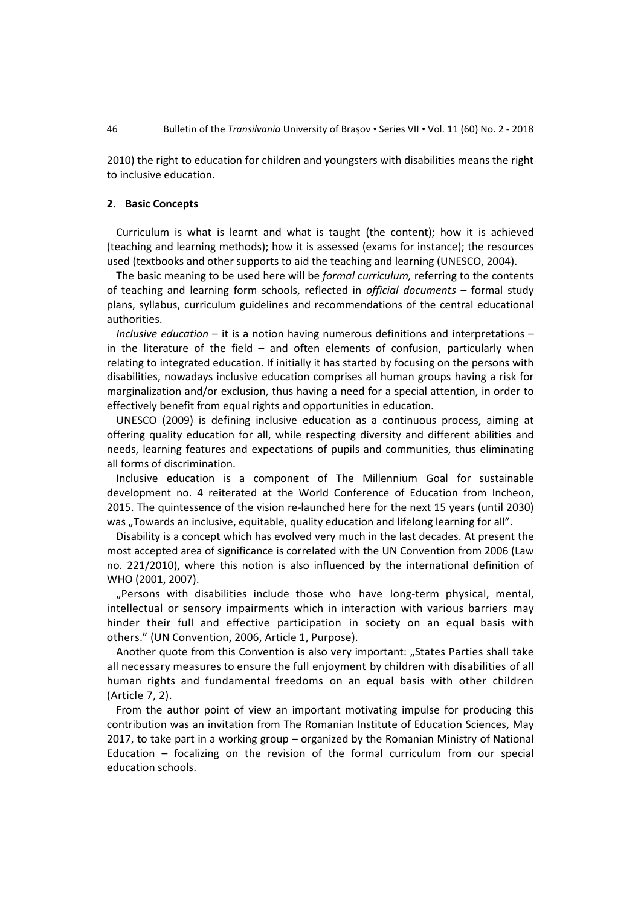2010) the right to education for children and youngsters with disabilities means the right to inclusive education.

#### **2. Basic Concepts**

Curriculum is what is learnt and what is taught (the content); how it is achieved (teaching and learning methods); how it is assessed (exams for instance); the resources used (textbooks and other supports to aid the teaching and learning (UNESCO, 2004).

The basic meaning to be used here will be *formal curriculum,* referring to the contents of teaching and learning form schools, reflected in *official documents –* formal study plans, syllabus, curriculum guidelines and recommendations of the central educational authorities.

*Inclusive education* – it is a notion having numerous definitions and interpretations – in the literature of the field – and often elements of confusion, particularly when relating to integrated education. If initially it has started by focusing on the persons with disabilities, nowadays inclusive education comprises all human groups having a risk for marginalization and/or exclusion, thus having a need for a special attention, in order to effectively benefit from equal rights and opportunities in education.

UNESCO (2009) is defining inclusive education as a continuous process, aiming at offering quality education for all, while respecting diversity and different abilities and needs, learning features and expectations of pupils and communities, thus eliminating all forms of discrimination.

Inclusive education is a component of The Millennium Goal for sustainable development no. 4 reiterated at the World Conference of Education from Incheon, 2015. The quintessence of the vision re-launched here for the next 15 years (until 2030) was "Towards an inclusive, equitable, quality education and lifelong learning for all".

Disability is a concept which has evolved very much in the last decades. At present the most accepted area of significance is correlated with the UN Convention from 2006 (Law no. 221/2010), where this notion is also influenced by the international definition of WHO (2001, 2007).

"Persons with disabilities include those who have long-term physical, mental, intellectual or sensory impairments which in interaction with various barriers may hinder their full and effective participation in society on an equal basis with others." (UN Convention, 2006, Article 1, Purpose).

Another quote from this Convention is also very important: "States Parties shall take all necessary measures to ensure the full enjoyment by children with disabilities of all human rights and fundamental freedoms on an equal basis with other children (Article 7, 2).

From the author point of view an important motivating impulse for producing this contribution was an invitation from The Romanian Institute of Education Sciences, May 2017, to take part in a working group – organized by the Romanian Ministry of National Education – focalizing on the revision of the formal curriculum from our special education schools.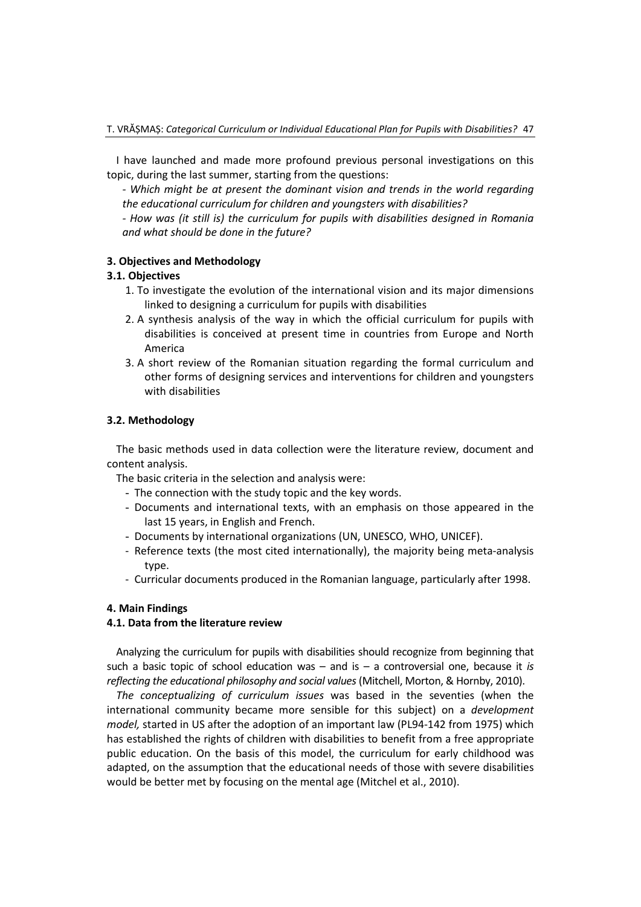I have launched and made more profound previous personal investigations on this topic, during the last summer, starting from the questions:

*- Which might be at present the dominant vision and trends in the world regarding the educational curriculum for children and youngsters with disabilities?*

*- How was (it still is) the curriculum for pupils with disabilities designed in Romania and what should be done in the future?*

#### **3. Objectives and Methodology**

#### **3.1. Objectives**

- 1. To investigate the evolution of the international vision and its major dimensions linked to designing a curriculum for pupils with disabilities
- 2. A synthesis analysis of the way in which the official curriculum for pupils with disabilities is conceived at present time in countries from Europe and North America
- 3. A short review of the Romanian situation regarding the formal curriculum and other forms of designing services and interventions for children and youngsters with disabilities

## **3.2. Methodology**

The basic methods used in data collection were the literature review, document and content analysis.

The basic criteria in the selection and analysis were:

- The connection with the study topic and the key words.
- Documents and international texts, with an emphasis on those appeared in the last 15 years, in English and French.
- Documents by international organizations (UN, UNESCO, WHO, UNICEF).
- Reference texts (the most cited internationally), the majority being meta-analysis type.
- Curricular documents produced in the Romanian language, particularly after 1998.

# **4. Main Findings**

### **4.1. Data from the literature review**

Analyzing the curriculum for pupils with disabilities should recognize from beginning that such a basic topic of school education was – and is – a controversial one, because it *is reflecting the educational philosophy and social values*(Mitchell, Morton, & Hornby, 2010).

*The conceptualizing of curriculum issues* was based in the seventies (when the international community became more sensible for this subject) on a *development model,* started in US after the adoption of an important law (PL94-142 from 1975) which has established the rights of children with disabilities to benefit from a free appropriate public education. On the basis of this model, the curriculum for early childhood was adapted, on the assumption that the educational needs of those with severe disabilities would be better met by focusing on the mental age (Mitchel et al., 2010).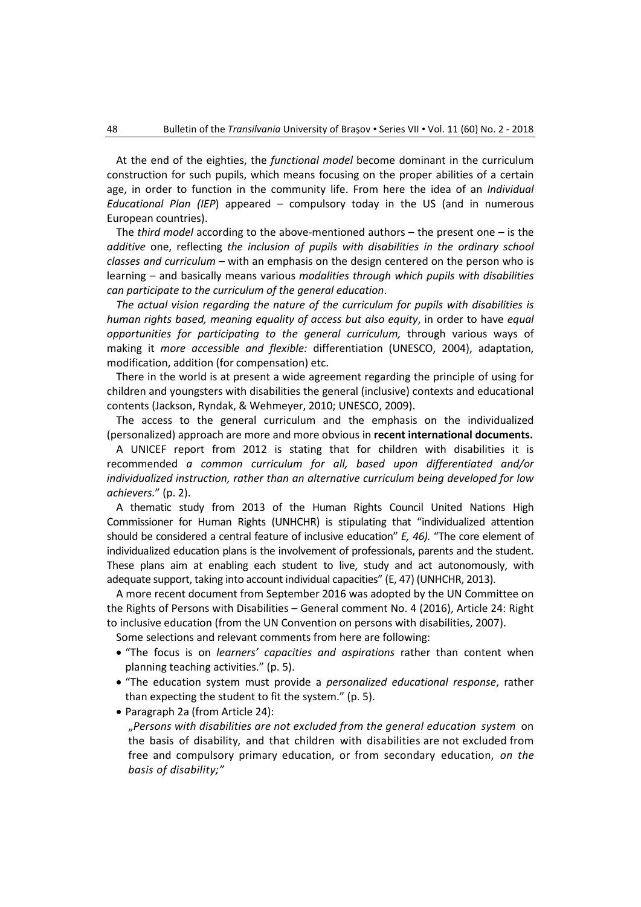At the end of the eighties, the *functional model* become dominant in the curriculum construction for such pupils, which means focusing on the proper abilities of a certain age, in order to function in the community life. From here the idea of an *Individual Educational Plan (IEP*) appeared – compulsory today in the US (and in numerous European countries).

The *third model* according to the above-mentioned authors – the present one – is the *additive* one, reflecting *the inclusion of pupils with disabilities in the ordinary school classes and curriculum* – with an emphasis on the design centered on the person who is learning – and basically means various *modalities through which pupils with disabilities can participate to the curriculum of the general education*.

*The actual vision regarding the nature of the curriculum for pupils with disabilities is human rights based, meaning equality of access but also equity*, in order to have *equal opportunities for participating to the general curriculum,* through various ways of making it *more accessible and flexible:* differentiation (UNESCO, 2004), adaptation, modification, addition (for compensation) etc.

There in the world is at present a wide agreement regarding the principle of using for children and youngsters with disabilities the general (inclusive) contexts and educational contents (Jackson, Ryndak, & Wehmeyer, 2010; UNESCO, 2009).

The access to the general curriculum and the emphasis on the individualized (personalized) approach are more and more obvious in **recent international documents.**

A UNICEF report from 2012 is stating that for children with disabilities it is recommended *a common curriculum for all, based upon differentiated and/or individualized instruction, rather than an alternative curriculum being developed for low achievers.*" (p. 2).

A thematic study from 2013 of the Human Rights Council United Nations High Commissioner for Human Rights (UNHCHR) is stipulating that "individualized attention should be considered a central feature of inclusive education" *E, 46).* "The core element of individualized education plans is the involvement of professionals, parents and the student. These plans aim at enabling each student to live, study and act autonomously, with adequate support, taking into account individual capacities" (E, 47) (UNHCHR, 2013).

A more recent document from September 2016 was adopted by the UN Committee on the Rights of Persons with Disabilities – General comment No. 4 (2016), Article 24: Right to inclusive education (from the UN Convention on persons with disabilities, 2007).

Some selections and relevant comments from here are following:

- "The focus is on *learners' capacities and aspirations* rather than content when planning teaching activities." (p. 5).
- "The education system must provide a *personalized educational response*, rather than expecting the student to fit the system." (p. 5).
- Paragraph 2a (from Article 24):

"*Persons with disabilities are not excluded from the general education system* on the basis of disability, and that children with disabilities are not excluded from free and compulsory primary education, or from secondary education, *on the basis of disability;"*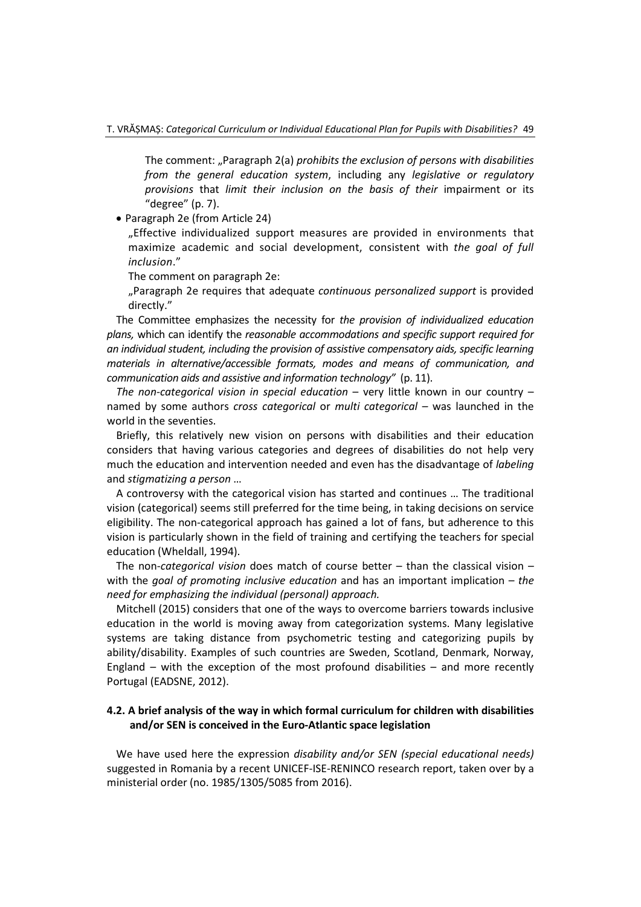The comment: "Paragraph 2(a) *prohibits the exclusion of persons with disabilities from the general education system*, including any *legislative or regulatory provisions* that *limit their inclusion on the basis of their* impairment or its "degree" (p. 7).

• Paragraph 2e (from Article 24)

"Effective individualized support measures are provided in environments that maximize academic and social development, consistent with *the goal of full inclusion*."

The comment on paragraph 2e:

"Paragraph 2e requires that adequate *continuous personalized support* is provided directly."

The Committee emphasizes the necessity for *the provision of individualized education plans,* which can identify the *reasonable accommodations and specific support required for an individual student, including the provision of assistive compensatory aids, specific learning materials in alternative/accessible formats, modes and means of communication, and communication aids and assistive and information technology"* (p. 11).

*The non-categorical vision in special education* – very little known in our country – named by some authors *cross categorical* or *multi categorical –* was launched in the world in the seventies.

Briefly, this relatively new vision on persons with disabilities and their education considers that having various categories and degrees of disabilities do not help very much the education and intervention needed and even has the disadvantage of *labeling* and *stigmatizing a person* …

A controversy with the categorical vision has started and continues … The traditional vision (categorical) seems still preferred for the time being, in taking decisions on service eligibility. The non-categorical approach has gained a lot of fans, but adherence to this vision is particularly shown in the field of training and certifying the teachers for special education (Wheldall, 1994).

The non-*categorical vision* does match of course better – than the classical vision – with the *goal of promoting inclusive education* and has an important implication – *the need for emphasizing the individual (personal) approach.*

Mitchell (2015) considers that one of the ways to overcome barriers towards inclusive education in the world is moving away from categorization systems. Many legislative systems are taking distance from psychometric testing and categorizing pupils by ability/disability. Examples of such countries are Sweden, Scotland, Denmark, Norway, England – with the exception of the most profound disabilities – and more recently Portugal (EADSNE, 2012).

### **4.2. A brief analysis of the way in which formal curriculum for children with disabilities and/or SEN is conceived in the Euro-Atlantic space legislation**

We have used here the expression *disability and/or SEN (special educational needs)*  suggested in Romania by a recent UNICEF-ISE-RENINCO research report, taken over by a ministerial order (no. 1985/1305/5085 from 2016).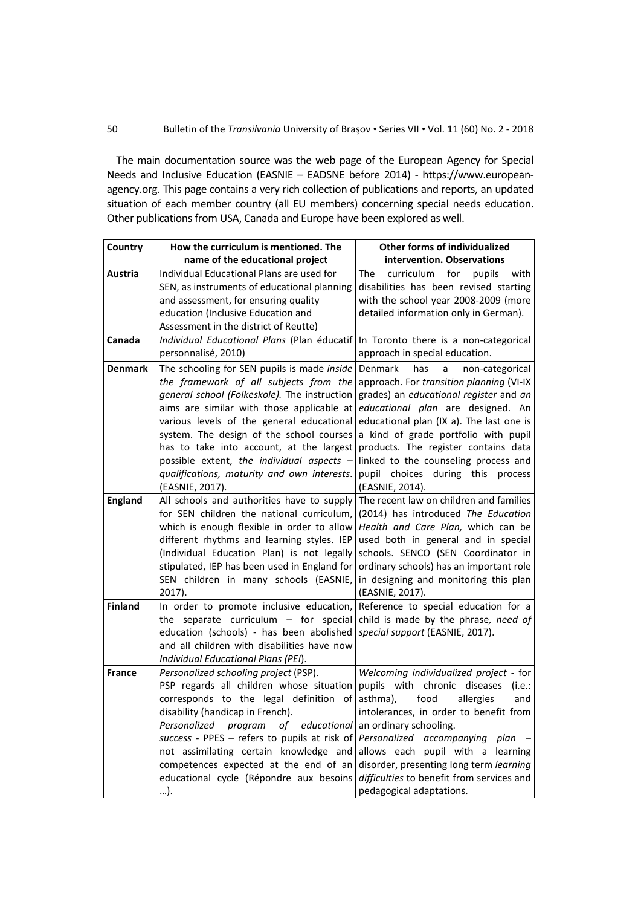The main documentation source was the web page of the European Agency for Special Needs and Inclusive Education (EASNIE – EADSNE before 2014) - [https://www.european](https://www.european-agency.org/)[agency.org.](https://www.european-agency.org/) This page contains a very rich collection of publications and reports, an updated situation of each member country (all EU members) concerning special needs education. Other publications from USA, Canada and Europe have been explored as well.

| Country                          | How the curriculum is mentioned. The                                                                                                                                                                                                                                                                                                                                                                                                                                                                                              | <b>Other forms of individualized</b>                                                                                                                                                                                                                                                                                                                                                                                                                                               |
|----------------------------------|-----------------------------------------------------------------------------------------------------------------------------------------------------------------------------------------------------------------------------------------------------------------------------------------------------------------------------------------------------------------------------------------------------------------------------------------------------------------------------------------------------------------------------------|------------------------------------------------------------------------------------------------------------------------------------------------------------------------------------------------------------------------------------------------------------------------------------------------------------------------------------------------------------------------------------------------------------------------------------------------------------------------------------|
|                                  | name of the educational project                                                                                                                                                                                                                                                                                                                                                                                                                                                                                                   | intervention. Observations                                                                                                                                                                                                                                                                                                                                                                                                                                                         |
| Austria                          | Individual Educational Plans are used for<br>SEN, as instruments of educational planning<br>and assessment, for ensuring quality<br>education (Inclusive Education and<br>Assessment in the district of Reutte)                                                                                                                                                                                                                                                                                                                   | The<br>curriculum<br>for<br>pupils<br>with<br>disabilities has been revised starting<br>with the school year 2008-2009 (more<br>detailed information only in German).                                                                                                                                                                                                                                                                                                              |
| Canada                           | Individual Educational Plans (Plan éducatif In Toronto there is a non-categorical<br>personnalisé, 2010)                                                                                                                                                                                                                                                                                                                                                                                                                          | approach in special education.                                                                                                                                                                                                                                                                                                                                                                                                                                                     |
| <b>Denmark</b><br><b>England</b> | The schooling for SEN pupils is made inside<br>the framework of all subjects from the<br>general school (Folkeskole). The instruction<br>aims are similar with those applicable at<br>various levels of the general educational<br>system. The design of the school courses<br>has to take into account, at the largest<br>possible extent, the individual aspects -<br>qualifications, maturity and own interests.<br>(EASNIE, 2017).<br>All schools and authorities have to supply<br>for SEN children the national curriculum, | Denmark<br>has<br>non-categorical<br>a<br>approach. For transition planning (VI-IX<br>grades) an educational register and an<br>educational plan are designed. An<br>educational plan (IX a). The last one is<br>a kind of grade portfolio with pupil<br>products. The register contains data<br>linked to the counseling process and<br>pupil choices during this<br>process<br>(EASNIE, 2014).<br>The recent law on children and families<br>(2014) has introduced The Education |
|                                  | which is enough flexible in order to allow<br>different rhythms and learning styles. IEP<br>(Individual Education Plan) is not legally<br>stipulated, IEP has been used in England for<br>SEN children in many schools (EASNIE,<br>2017).                                                                                                                                                                                                                                                                                         | Health and Care Plan, which can be<br>used both in general and in special<br>schools. SENCO (SEN Coordinator in<br>ordinary schools) has an important role<br>in designing and monitoring this plan<br>(EASNIE, 2017).                                                                                                                                                                                                                                                             |
| <b>Finland</b>                   | In order to promote inclusive education,<br>the separate curriculum $-$ for special<br>education (schools) - has been abolished<br>and all children with disabilities have now<br>Individual Educational Plans (PEI).                                                                                                                                                                                                                                                                                                             | Reference to special education for a<br>child is made by the phrase, need of<br>special support (EASNIE, 2017).                                                                                                                                                                                                                                                                                                                                                                    |
| <b>France</b>                    | Personalized schooling project (PSP).<br>PSP regards all children whose situation<br>corresponds to the legal definition of<br>disability (handicap in French).<br>Personalized program<br>of<br>educational<br>success - PPES – refers to pupils at risk of<br>not assimilating certain knowledge and<br>competences expected at the end of an<br>educational cycle (Répondre aux besoins<br>).                                                                                                                                  | Welcoming individualized project - for<br>pupils with chronic diseases<br>(i.e.:<br>asthma),<br>food<br>allergies<br>and<br>intolerances, in order to benefit from<br>an ordinary schooling.<br>Personalized accompanying plan<br>allows each pupil with a learning<br>disorder, presenting long term learning<br>difficulties to benefit from services and<br>pedagogical adaptations.                                                                                            |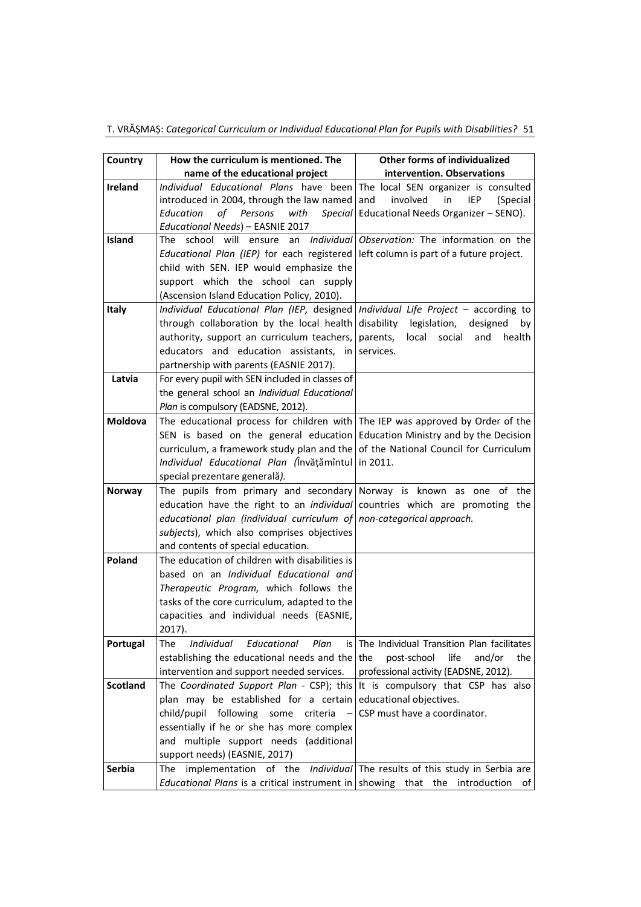|  |  |  | T. VRĂȘMAȘ: Categorical Curriculum or Individual Educational Plan for Pupils with Disabilities? 51 |  |
|--|--|--|----------------------------------------------------------------------------------------------------|--|
|--|--|--|----------------------------------------------------------------------------------------------------|--|

| Country         | How the curriculum is mentioned. The                                                       | Other forms of individualized                            |
|-----------------|--------------------------------------------------------------------------------------------|----------------------------------------------------------|
|                 | name of the educational project                                                            | intervention. Observations                               |
| <b>Ireland</b>  | Individual Educational Plans have been The local SEN organizer is consulted                |                                                          |
|                 | introduced in 2004, through the law named and                                              | involved<br>in<br>IEP<br>(Special                        |
|                 | Education<br>of<br>Persons<br>with                                                         | Special   Educational Needs Organizer - SENO).           |
|                 | Educational Needs) - EASNIE 2017                                                           |                                                          |
| <b>Island</b>   | school will<br>ensure<br>The                                                               | an <i>Individual</i> Observation: The information on the |
|                 | Educational Plan (IEP) for each registered left column is part of a future project.        |                                                          |
|                 | child with SEN. IEP would emphasize the                                                    |                                                          |
|                 | support which the school can supply                                                        |                                                          |
|                 | (Ascension Island Education Policy, 2010).                                                 |                                                          |
| Italy           | Individual Educational Plan (IEP, designed   Individual Life Project - according to        |                                                          |
|                 | through collaboration by the local health                                                  | disability legislation,<br>designed<br>by                |
|                 | authority, support an curriculum teachers,                                                 | parents,<br>local social<br>and<br>health                |
|                 | educators and education assistants, in                                                     | services.                                                |
|                 | partnership with parents (EASNIE 2017).                                                    |                                                          |
| Latvia          | For every pupil with SEN included in classes of                                            |                                                          |
|                 | the general school an Individual Educational                                               |                                                          |
|                 | Plan is compulsory (EADSNE, 2012).                                                         |                                                          |
| <b>Moldova</b>  | The educational process for children with The IEP was approved by Order of the             |                                                          |
|                 | SEN is based on the general education Education Ministry and by the Decision               |                                                          |
|                 | curriculum, a framework study plan and the $\sigma$ of the National Council for Curriculum |                                                          |
|                 | Individual Educational Plan (Învățămîntul in 2011.                                         |                                                          |
|                 | special prezentare generală).                                                              |                                                          |
| <b>Norway</b>   | The pupils from primary and secondary Norway is known as one of the                        |                                                          |
|                 | education have the right to an <i>individual</i> countries which are promoting the         |                                                          |
|                 | educational plan (individual curriculum of non-categorical approach.                       |                                                          |
|                 | subjects), which also comprises objectives                                                 |                                                          |
|                 | and contents of special education.                                                         |                                                          |
| Poland          | The education of children with disabilities is                                             |                                                          |
|                 | based on an Individual Educational and                                                     |                                                          |
|                 | Therapeutic Program, which follows the                                                     |                                                          |
|                 | tasks of the core curriculum, adapted to the                                               |                                                          |
|                 | capacities and individual needs (EASNIE,                                                   |                                                          |
|                 | 2017).                                                                                     |                                                          |
| Portugal        | Individual<br>Educational<br>Plan<br>The                                                   | is The Individual Transition Plan facilitates            |
|                 | establishing the educational needs and the the                                             | post-school<br>life<br>and/or<br>the                     |
|                 | intervention and support needed services.                                                  | professional activity (EADSNE, 2012).                    |
| <b>Scotland</b> | The Coordinated Support Plan - CSP); this                                                  | It is compulsory that CSP has also                       |
|                 | plan may be established for a certain educational objectives.                              |                                                          |
|                 | child/pupil following<br>some<br>criteria                                                  | CSP must have a coordinator.                             |
|                 | essentially if he or she has more complex                                                  |                                                          |
|                 | and multiple support needs (additional                                                     |                                                          |
|                 | support needs) (EASNIE, 2017)                                                              |                                                          |
| <b>Serbia</b>   | The implementation of the Individual The results of this study in Serbia are               |                                                          |
|                 | <i>Educational Plans</i> is a critical instrument in showing that the introduction         | ot l                                                     |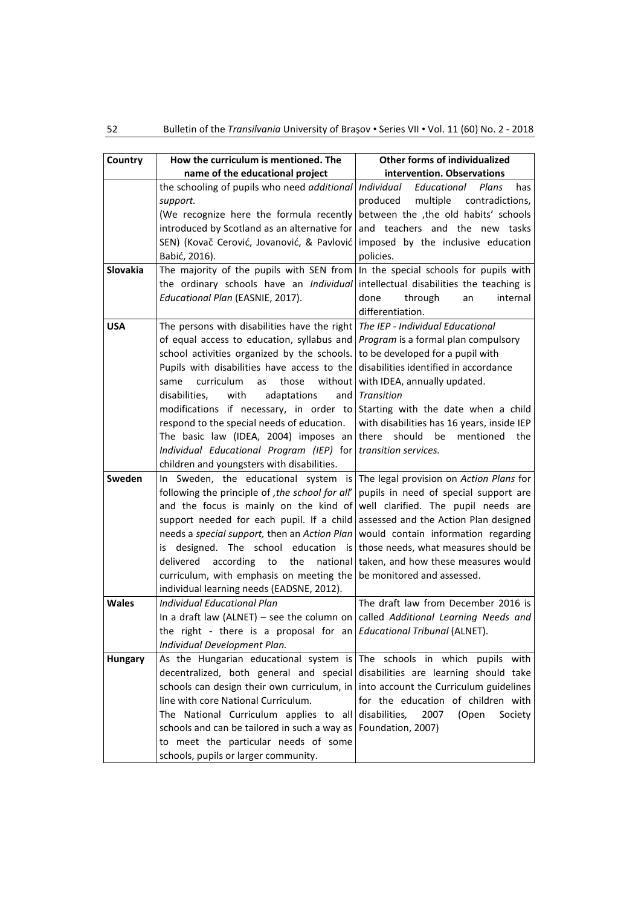| Country         | How the curriculum is mentioned. The                                                                                      | Other forms of individualized                    |
|-----------------|---------------------------------------------------------------------------------------------------------------------------|--------------------------------------------------|
|                 | name of the educational project                                                                                           | intervention. Observations                       |
|                 | the schooling of pupils who need additional Individual                                                                    | Educational<br>Plans<br>has                      |
|                 | support.                                                                                                                  | produced<br>multiple contradictions,             |
|                 | (We recognize here the formula recently between the the old habits' schools                                               |                                                  |
|                 | introduced by Scotland as an alternative for and teachers and the new tasks                                               |                                                  |
|                 | SEN) (Kovač Cerović, Jovanović, & Pavlović   imposed by the inclusive education                                           |                                                  |
|                 | Babić, 2016).                                                                                                             | policies.                                        |
| <b>Slovakia</b> | The majority of the pupils with SEN from $ n $ the special schools for pupils with                                        |                                                  |
|                 | the ordinary schools have an <i>Individual</i> intellectual disabilities the teaching is                                  |                                                  |
|                 | Educational Plan (EASNIE, 2017).                                                                                          | done<br>through<br>internal<br>an                |
|                 |                                                                                                                           | differentiation.                                 |
| <b>USA</b>      | The persons with disabilities have the right $ $ The IEP - Individual Educational                                         |                                                  |
|                 | of equal access to education, syllabus and <i>Program</i> is a formal plan compulsory                                     |                                                  |
|                 | school activities organized by the schools. to be developed for a pupil with                                              |                                                  |
|                 | Pupils with disabilities have access to the disabilities identified in accordance                                         |                                                  |
|                 | those<br>curriculum<br>same<br>as                                                                                         | without   with IDEA, annually updated.           |
|                 | disabilities,<br>with<br>adaptations                                                                                      | and <i>Transition</i>                            |
|                 | modifications if necessary, in order to Starting with the date when a child                                               |                                                  |
|                 | respond to the special needs of education.                                                                                | with disabilities has 16 years, inside IEP       |
|                 | The basic law (IDEA, 2004) imposes an there                                                                               | should<br>mentioned<br>be<br>the                 |
|                 | Individual Educational Program (IEP) for transition services.                                                             |                                                  |
|                 | children and youngsters with disabilities.                                                                                |                                                  |
| Sweden          | In Sweden, the educational system is The legal provision on Action Plans for                                              |                                                  |
|                 | following the principle of , the school for all'                                                                          | pupils in need of special support are            |
|                 | and the focus is mainly on the kind of                                                                                    | well clarified. The pupil needs are              |
|                 | support needed for each pupil. If a child assessed and the Action Plan designed                                           |                                                  |
|                 | needs a special support, then an Action Plan<br>is designed. The school education is those needs, what measures should be | would contain information regarding              |
|                 | delivered<br>according<br>to                                                                                              | the national taken, and how these measures would |
|                 | curriculum, with emphasis on meeting the be monitored and assessed.                                                       |                                                  |
|                 | individual learning needs (EADSNE, 2012).                                                                                 |                                                  |
| <b>Wales</b>    | <b>Individual Educational Plan</b>                                                                                        | The draft law from December 2016 is              |
|                 | In a draft law (ALNET) – see the column on called Additional Learning Needs and                                           |                                                  |
|                 | the right - there is a proposal for an <i>Educational Tribunal</i> (ALNET).                                               |                                                  |
|                 | Individual Development Plan.                                                                                              |                                                  |
| <b>Hungary</b>  | As the Hungarian educational system is The schools in which pupils with                                                   |                                                  |
|                 | decentralized, both general and special disabilities are learning should take                                             |                                                  |
|                 | schools can design their own curriculum, in $ $ into account the Curriculum guidelines                                    |                                                  |
|                 | line with core National Curriculum.                                                                                       | for the education of children with               |
|                 | The National Curriculum applies to all disabilities,                                                                      | 2007<br>(Open<br>Society                         |
|                 | schools and can be tailored in such a way as $ $ Foundation, 2007)                                                        |                                                  |
|                 | to meet the particular needs of some                                                                                      |                                                  |
|                 | schools, pupils or larger community.                                                                                      |                                                  |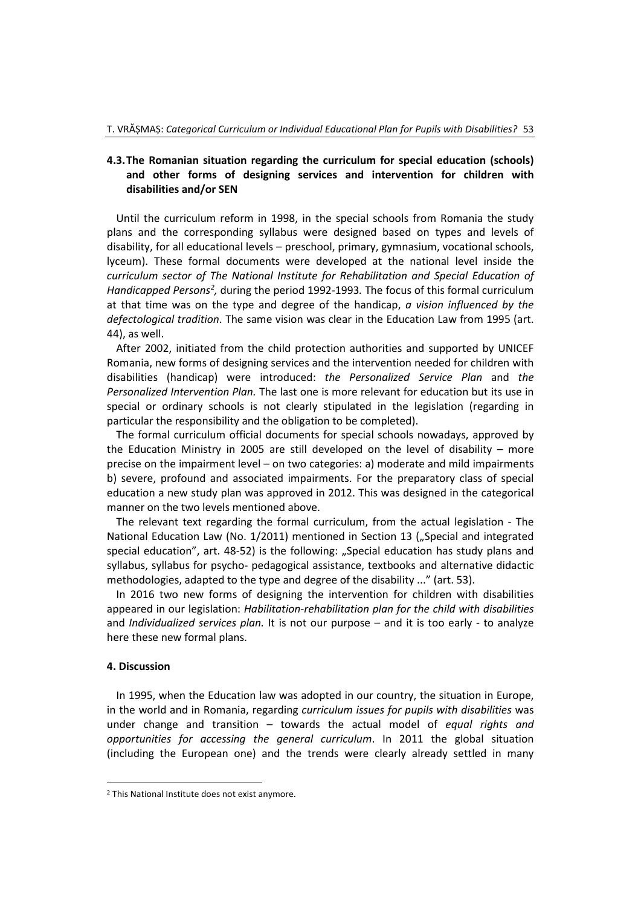# **4.3.The Romanian situation regarding the curriculum for special education (schools) and other forms of designing services and intervention for children with disabilities and/or SEN**

Until the curriculum reform in 1998, in the special schools from Romania the study plans and the corresponding syllabus were designed based on types and levels of disability, for all educational levels – preschool, primary, gymnasium, vocational schools, lyceum). These formal documents were developed at the national level inside the *curriculum sector of The National Institute for Rehabilitation and Special Education of*  Handicapped Persons<sup>[2](#page-8-0)</sup>, during the period 1992-1993. The focus of this formal curriculum at that time was on the type and degree of the handicap, *a vision influenced by the defectological tradition*. The same vision was clear in the Education Law from 1995 (art. 44), as well.

After 2002, initiated from the child protection authorities and supported by UNICEF Romania, new forms of designing services and the intervention needed for children with disabilities (handicap) were introduced: *the Personalized Service Plan* and *the Personalized Intervention Plan.* The last one is more relevant for education but its use in special or ordinary schools is not clearly stipulated in the legislation (regarding in particular the responsibility and the obligation to be completed).

The formal curriculum official documents for special schools nowadays, approved by the Education Ministry in 2005 are still developed on the level of disability – more precise on the impairment level – on two categories: a) moderate and mild impairments b) severe, profound and associated impairments. For the preparatory class of special education a new study plan was approved in 2012. This was designed in the categorical manner on the two levels mentioned above.

The relevant text regarding the formal curriculum, from the actual legislation - The National Education Law (No. 1/2011) mentioned in Section 13 ("Special and integrated special education", art. 48-52) is the following: "Special education has study plans and syllabus, syllabus for psycho- pedagogical assistance, textbooks and alternative didactic methodologies, adapted to the type and degree of the disability ..." (art. 53).

In 2016 two new forms of designing the intervention for children with disabilities appeared in our legislation: *Habilitation-rehabilitation plan for the child with disabilities* and *Individualized services plan.* It is not our purpose – and it is too early - to analyze here these new formal plans.

#### **4. Discussion**

-

In 1995, when the Education law was adopted in our country, the situation in Europe, in the world and in Romania, regarding *curriculum issues for pupils with disabilities* was under change and transition – towards the actual model of *equal rights and opportunities for accessing the general curriculum*. In 2011 the global situation (including the European one) and the trends were clearly already settled in many

<span id="page-8-0"></span><sup>&</sup>lt;sup>2</sup> This National Institute does not exist anymore.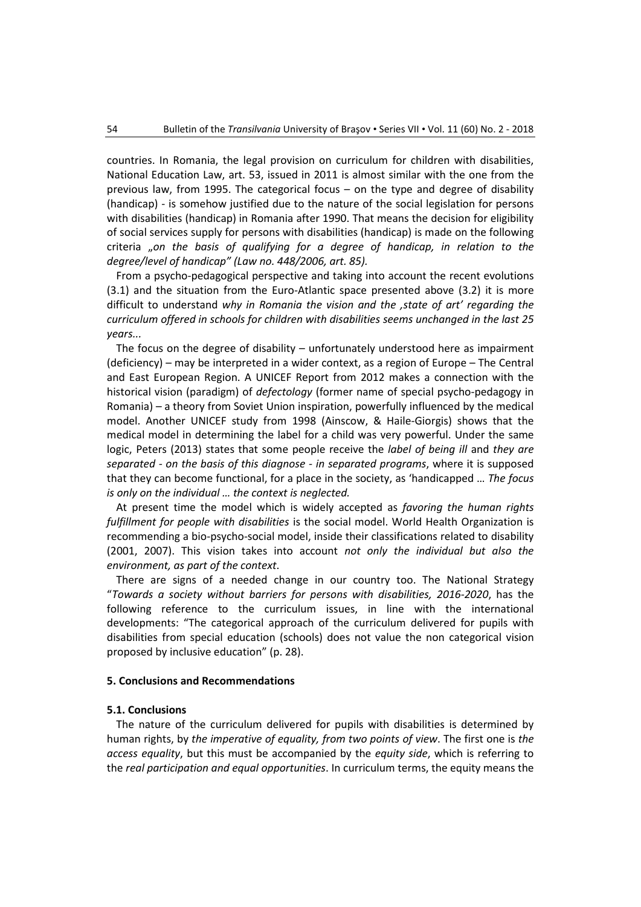countries. In Romania, the legal provision on curriculum for children with disabilities, National Education Law, art. 53, issued in 2011 is almost similar with the one from the previous law, from 1995. The categorical focus – on the type and degree of disability (handicap) - is somehow justified due to the nature of the social legislation for persons with disabilities (handicap) in Romania after 1990. That means the decision for eligibility of social services supply for persons with disabilities (handicap) is made on the following criteria "*on the basis of qualifying for a degree of handicap, in relation to the degree/level of handicap" (Law no. 448/2006, art. 85).*

From a psycho-pedagogical perspective and taking into account the recent evolutions (3.1) and the situation from the Euro-Atlantic space presented above (3.2) it is more difficult to understand *why in Romania the vision and the 'state of art' regarding the curriculum offered in schools for children with disabilities seems unchanged in the last 25 years...*

The focus on the degree of disability – unfortunately understood here as impairment (deficiency) – may be interpreted in a wider context, as a region of Europe – The Central and East European Region. A UNICEF Report from 2012 makes a connection with the historical vision (paradigm) of *defectology* (former name of special psycho-pedagogy in Romania) *–* a theory from Soviet Union inspiration, powerfully influenced by the medical model. Another UNICEF study from 1998 (Ainscow, & Haile-Giorgis) shows that the medical model in determining the label for a child was very powerful. Under the same logic, Peters (2013) states that some people receive the *label of being ill* and *they are separated - on the basis of this diagnose - in separated programs*, where it is supposed that they can become functional, for a place in the society, as 'handicapped … *The focus is only on the individual … the context is neglected.*

At present time the model which is widely accepted as *favoring the human rights fulfillment for people with disabilities* is the social model. World Health Organization is recommending a bio-psycho-social model, inside their classifications related to disability (2001, 2007). This vision takes into account *not only the individual but also the environment, as part of the context*.

There are signs of a needed change in our country too. The National Strategy "*Towards a society without barriers for persons with disabilities, 2016-2020*, has the following reference to the curriculum issues, in line with the international developments: "The categorical approach of the curriculum delivered for pupils with disabilities from special education (schools) does not value the non categorical vision proposed by inclusive education" (p. 28).

#### **5. Conclusions and Recommendations**

#### **5.1. Conclusions**

The nature of the curriculum delivered for pupils with disabilities is determined by human rights, by *the imperative of equality, from two points of view*. The first one is *the access equality*, but this must be accompanied by the *equity side*, which is referring to the *real participation and equal opportunities*. In curriculum terms, the equity means the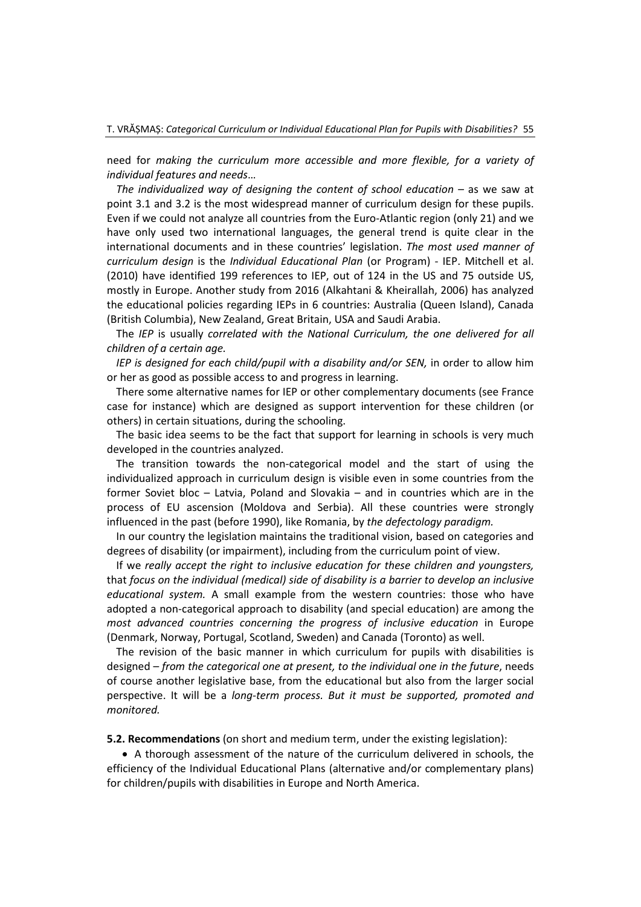need for *making the curriculum more accessible and more flexible, for a variety of individual features and needs*…

*The individualized way of designing the content of school education –* as we saw at point 3.1 and 3.2 is the most widespread manner of curriculum design for these pupils. Even if we could not analyze all countries from the Euro-Atlantic region (only 21) and we have only used two international languages, the general trend is quite clear in the international documents and in these countries' legislation. *The most used manner of curriculum design* is the *Individual Educational Plan* (or Program) - IEP. Mitchell et al. (2010) have identified 199 references to IEP, out of 124 in the US and 75 outside US, mostly in Europe. Another study from 2016 (Alkahtani & Kheirallah, 2006) has analyzed the educational policies regarding IEPs in 6 countries: Australia (Queen Island), Canada (British Columbia), New Zealand, Great Britain, USA and Saudi Arabia.

The *IEP* is usually *correlated with the National Curriculum, the one delivered for all children of a certain age.*

*IEP is designed for each child/pupil with a disability and/or SEN, in order to allow him* or her as good as possible access to and progress in learning.

There some alternative names for IEP or other complementary documents (see France case for instance) which are designed as support intervention for these children (or others) in certain situations, during the schooling.

The basic idea seems to be the fact that support for learning in schools is very much developed in the countries analyzed.

The transition towards the non-categorical model and the start of using the individualized approach in curriculum design is visible even in some countries from the former Soviet bloc – Latvia, Poland and Slovakia – and in countries which are in the process of EU ascension (Moldova and Serbia). All these countries were strongly influenced in the past (before 1990), like Romania, by *the defectology paradigm.*

In our country the legislation maintains the traditional vision, based on categories and degrees of disability (or impairment), including from the curriculum point of view.

If we *really accept the right to inclusive education for these children and youngsters,*  that *focus on the individual (medical) side of disability is a barrier to develop an inclusive educational system.* A small example from the western countries: those who have adopted a non-categorical approach to disability (and special education) are among the *most advanced countries concerning the progress of inclusive education* in Europe (Denmark, Norway, Portugal, Scotland, Sweden) and Canada (Toronto) as well.

The revision of the basic manner in which curriculum for pupils with disabilities is designed – *from the categorical one at present, to the individual one in the future*, needs of course another legislative base, from the educational but also from the larger social perspective. It will be a *long-term process. But it must be supported, promoted and monitored.*

**5.2. Recommendations** (on short and medium term, under the existing legislation):

• A thorough assessment of the nature of the curriculum delivered in schools, the efficiency of the Individual Educational Plans (alternative and/or complementary plans) for children/pupils with disabilities in Europe and North America.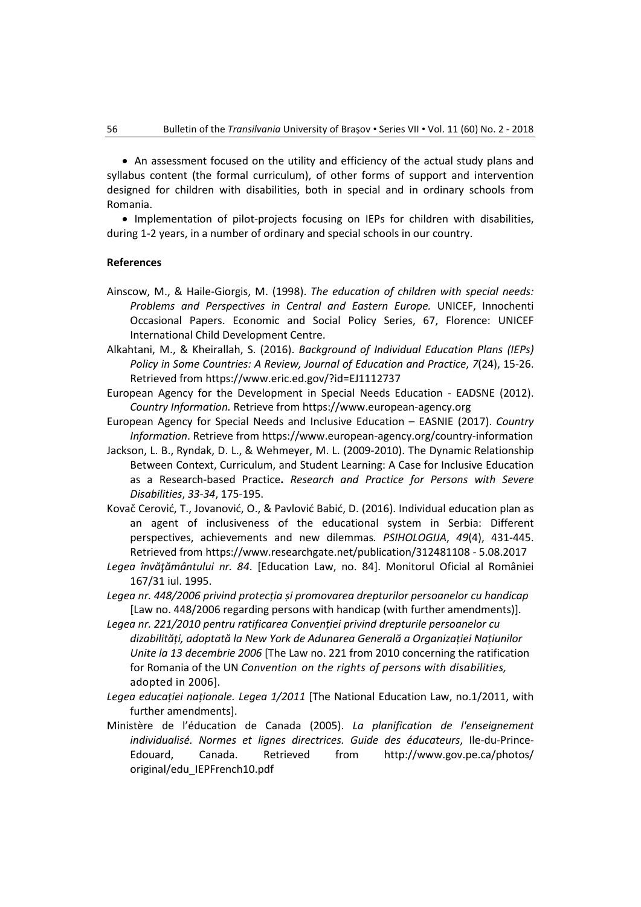• An assessment focused on the utility and efficiency of the actual study plans and syllabus content (the formal curriculum), of other forms of support and intervention designed for children with disabilities, both in special and in ordinary schools from Romania.

• Implementation of pilot-projects focusing on IEPs for children with disabilities, during 1-2 years, in a number of ordinary and special schools in our country.

#### **References**

- Ainscow, M., & Haile-Giorgis, M. (1998). *The education of children with special needs: Problems and Perspectives in Central and Eastern Europe.* UNICEF, Innochenti Occasional Papers. Economic and Social Policy Series, 67, Florence: UNICEF International Child Development Centre.
- Alkahtani, M., & Kheirallah, S. (2016). *Background of Individual Education Plans (IEPs) Policy in Some Countries: A Review, Journal of Education and Practice*, *7*(24), 15-26. Retrieved from<https://www.eric.ed.gov/?id=EJ1112737>
- European Agency for the Development in Special Needs Education EADSNE (2012). *Country Information.* Retrieve from [https://www.european-agency.org](https://www.european-agency.org/)
- European Agency for Special Needs and Inclusive Education EASNIE (2017). *Country Information*. Retrieve fro[m https://www.european-agency.org/country-information](https://www.european-agency.org/country-information)
- Jackson, L. B., Ryndak, D. L., & Wehmeyer, M. L. (2009-2010). The Dynamic Relationship Between Context, Curriculum, and Student Learning: A Case for Inclusive Education as a Research-based Practice**.** *Research and Practice for Persons with Severe Disabilities*, *33-34*, 175-195.
- Kovač Cerović, T., Jovanović, O., & Pavlović Babić, D. (2016). Individual education plan as an agent of inclusiveness of the educational system in Serbia: Different perspectives, achievements and new dilemmas*. PSIHOLOGIJA*, *49*(4), 431-445. Retrieved from [https://www.researchgate.net/publication/312481108](https://www.researchgate.net/publication/312481108%20-%205.08.2017) - 5.08.2017
- *Legea învăţământului nr. 84*. [Education Law, no. 84]. Monitorul Oficial al României 167/31 iul. 1995.
- *Legea nr. 448/2006 privind protecția și promovarea drepturilor persoanelor cu handicap* [Law no. 448/2006 regarding persons with handicap (with further amendments)].
- *Legea nr. 221/2010 pentru ratificarea Convenției privind drepturile persoanelor cu dizabilități, adoptată la New York de Adunarea Generală a Organizației Națiunilor Unite la 13 decembrie 2006* [The Law no. 221 from 2010 concerning the ratification for Romania of the UN *Convention on the rights of persons with disabilities,* adopted in 2006].
- *Legea educației naționale. Legea 1/2011* [The National Education Law, no.1/2011, with further amendments].
- Ministère de l'éducation de Canada (2005). *La planification de l'enseignement individualisé. Normes et lignes directrices. Guide des éducateurs*, Ile-du-Prince-Edouard, Canada. Retrieved from [http://www.gov.pe.ca/photos/](http://www.gov.pe.ca/photos/%20original/edu_IEPFrench10.pdf)  [original/edu\\_IEPFrench10.pdf](http://www.gov.pe.ca/photos/%20original/edu_IEPFrench10.pdf)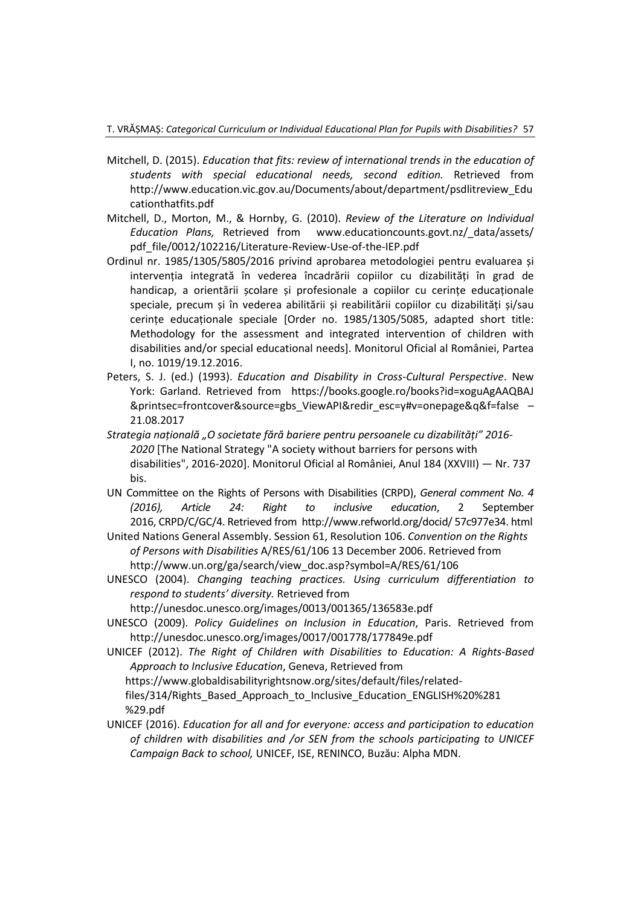- Mitchell, D. (2015). *Education that fits: review of international trends in the education of students with special educational needs, second edition.* Retrieved from [http://www.education.vic.gov.au/Documents/about/department/psdlitreview\\_Edu](http://www.education.vic.gov.au/Documents/about/department/psdlitreview_Educationthatfits.pdf) [cationthatfits.pdf](http://www.education.vic.gov.au/Documents/about/department/psdlitreview_Educationthatfits.pdf)
- Mitchell, D., Morton, M., & Hornby, G. (2010). *Review of the Literature on Individual Education Plans,* Retrieved from [www.educationcounts.govt.nz/\\_data/assets/](http://www.educationcounts.govt.nz/_data/assets/%20pdf_file/0012/102216/Literature-Review-Use-of-the-IEP.pdf)  [pdf\\_file/0012/102216/Literature-Review-Use-of-the-IEP.pdf](http://www.educationcounts.govt.nz/_data/assets/%20pdf_file/0012/102216/Literature-Review-Use-of-the-IEP.pdf)
- Ordinul nr. 1985/1305/5805/2016 privind aprobarea metodologiei pentru evaluarea și intervenția integrată în vederea încadrării copiilor cu dizabilități în grad de handicap, a orientării scolare și profesionale a copiilor cu cerinte educaționale speciale, precum și în vederea abilitării și reabilitării copiilor cu dizabilități și/sau cerințe educaționale speciale [Order no. 1985/1305/5085, adapted short title: Methodology for the assessment and integrated intervention of children with disabilities and/or special educational needs]. Monitorul Oficial al României, Partea I, no. 1019/19.12.2016.
- Peters, S. J. (ed.) (1993). *Education and Disability in Cross-Cultural Perspective*. New York: Garland. Retrieved from [https://books.google.ro/books?id=xoguAgAAQBAJ](https://books.google.ro/books?id=xoguAgAAQBAJ%20&printsec=frontcover&source=gbs_ViewAPI&redir_esc=y#v=onepage&q&f=false)  [&printsec=frontcover&source=gbs\\_ViewAPI&redir\\_esc=y#v=onepage&q&f=false](https://books.google.ro/books?id=xoguAgAAQBAJ%20&printsec=frontcover&source=gbs_ViewAPI&redir_esc=y#v=onepage&q&f=false) – 21.08.2017
- *Strategia națională "O societate fără bariere pentru persoanele cu dizabilități" 2016- 2020* [The National Strategy "A society without barriers for persons with disabilities", 2016-2020]. Monitorul Oficial al României, Anul 184 (XXVIII) — Nr. 737 bis.
- UN Committee on the Rights of Persons with Disabilities (CRPD), *General comment No. 4 (2016), Article 24: Right to inclusive education*, 2 September 2016, CRPD/C/GC/4. Retrieved from [http://www.refworld.org/docid/ 57c977e34. html](http://www.refworld.org/docid/%2057c977e34.%20html)

United Nations General Assembly. Session 61, Resolution 106. *Convention on the Rights of Persons with Disabilities* A/RES/61/106 13 December 2006. Retrieved from [http://www.un.org/ga/search/view\\_doc.asp?symbol=A/RES/61/106](http://www.un.org/ga/search/view_doc.asp?symbol=A/RES/61/106)

UNESCO (2004). *Changing teaching practices. Using curriculum differentiation to respond to students' diversity.* Retrieved from

<http://unesdoc.unesco.org/images/0013/001365/136583e.pdf>

- UNESCO (2009). *Policy Guidelines on Inclusion in Education*, Paris. Retrieved from <http://unesdoc.unesco.org/images/0017/001778/177849e.pdf>
- UNICEF (2012). *The Right of Children with Disabilities to Education: A Rights-Based Approach to Inclusive Education*, Geneva, Retrieved from [https://www.globaldisabilityrightsnow.org/sites/default/files/related](https://www.globaldisabilityrightsnow.org/sites/default/files/related-files/314/Rights_Based_Approach_to_Inclusive_Education_ENGLISH%20%281%29.pdf)[files/314/Rights\\_Based\\_Approach\\_to\\_Inclusive\\_Education\\_ENGLISH%20%281](https://www.globaldisabilityrightsnow.org/sites/default/files/related-files/314/Rights_Based_Approach_to_Inclusive_Education_ENGLISH%20%281%29.pdf)  [%29.pdf](https://www.globaldisabilityrightsnow.org/sites/default/files/related-files/314/Rights_Based_Approach_to_Inclusive_Education_ENGLISH%20%281%29.pdf)
- UNICEF (2016). *Education for all and for everyone: access and participation to education of children with disabilities and /or SEN from the schools participating to UNICEF Campaign Back to school,* UNICEF, ISE, RENINCO, Buzău: Alpha MDN.